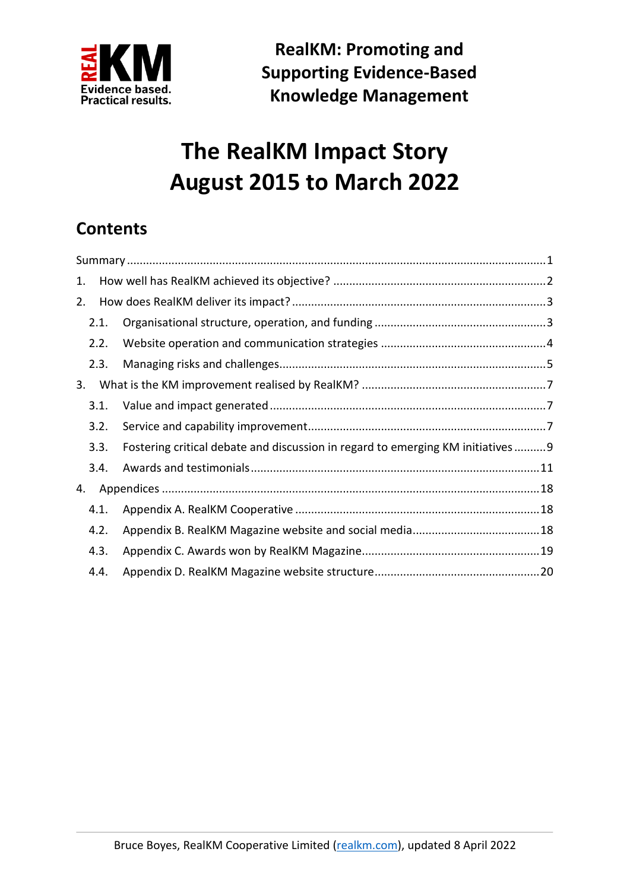

**RealKM: Promoting and Supporting Evidence-Based Knowledge Management**

# **The RealKM Impact Story August 2015 to March 2022**

# **Contents**

| 1. |      |                                                                                |  |
|----|------|--------------------------------------------------------------------------------|--|
| 2. |      |                                                                                |  |
|    | 2.1. |                                                                                |  |
|    | 2.2. |                                                                                |  |
|    | 2.3. |                                                                                |  |
| 3. |      |                                                                                |  |
|    | 3.1. |                                                                                |  |
|    | 3.2. |                                                                                |  |
|    | 3.3. | Fostering critical debate and discussion in regard to emerging KM initiatives9 |  |
|    | 3.4. |                                                                                |  |
| 4. |      |                                                                                |  |
|    | 4.1. |                                                                                |  |
|    | 4.2. |                                                                                |  |
|    | 4.3. |                                                                                |  |
|    | 4.4. |                                                                                |  |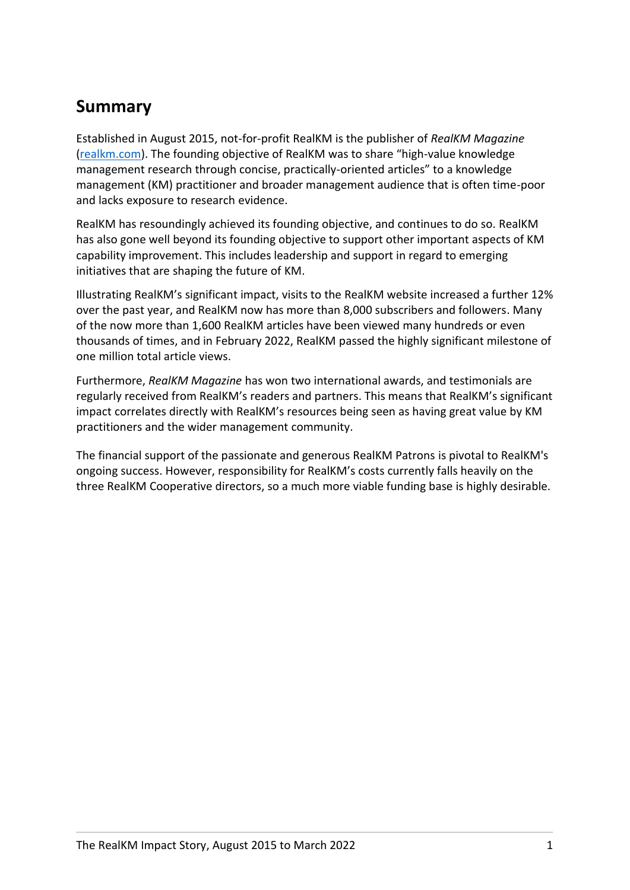### <span id="page-1-0"></span>**Summary**

Established in August 2015, not-for-profit RealKM is the publisher of *RealKM Magazine* [\(realkm.com\)](https://realkm.com/). The founding objective of RealKM was to share "high-value knowledge management research through concise, practically-oriented articles" to a knowledge management (KM) practitioner and broader management audience that is often time-poor and lacks exposure to research evidence.

RealKM has resoundingly achieved its founding objective, and continues to do so. RealKM has also gone well beyond its founding objective to support other important aspects of KM capability improvement. This includes leadership and support in regard to emerging initiatives that are shaping the future of KM.

Illustrating RealKM's significant impact, visits to the RealKM website increased a further 12% over the past year, and RealKM now has more than 8,000 subscribers and followers. Many of the now more than 1,600 RealKM articles have been viewed many hundreds or even thousands of times, and in February 2022, RealKM passed the highly significant milestone of one million total article views.

Furthermore, *RealKM Magazine* has won two international awards, and testimonials are regularly received from RealKM's readers and partners. This means that RealKM's significant impact correlates directly with RealKM's resources being seen as having great value by KM practitioners and the wider management community.

The financial support of the passionate and generous RealKM Patrons is pivotal to RealKM's ongoing success. However, responsibility for RealKM's costs currently falls heavily on the three RealKM Cooperative directors, so a much more viable funding base is highly desirable.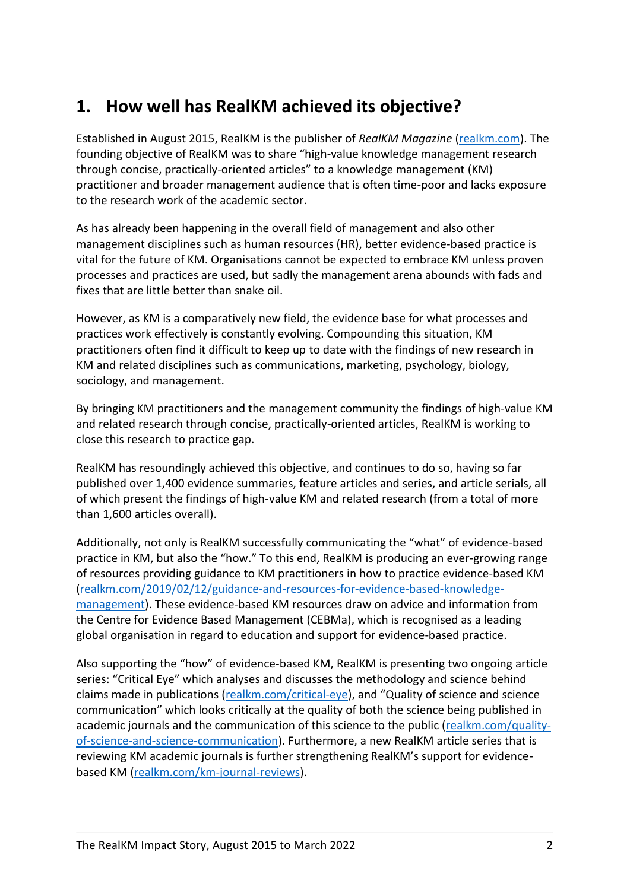# <span id="page-2-0"></span>**1. How well has RealKM achieved its objective?**

Established in August 2015, RealKM is the publisher of *RealKM Magazine* [\(realkm.com\)](https://realkm.com/). The founding objective of RealKM was to share "high-value knowledge management research through concise, practically-oriented articles" to a knowledge management (KM) practitioner and broader management audience that is often time-poor and lacks exposure to the research work of the academic sector.

As has already been happening in the overall field of management and also other management disciplines such as human resources (HR), better evidence-based practice is vital for the future of KM. Organisations cannot be expected to embrace KM unless proven processes and practices are used, but sadly the management arena abounds with fads and fixes that are little better than snake oil.

However, as KM is a comparatively new field, the evidence base for what processes and practices work effectively is constantly evolving. Compounding this situation, KM practitioners often find it difficult to keep up to date with the findings of new research in KM and related disciplines such as communications, marketing, psychology, biology, sociology, and management.

By bringing KM practitioners and the management community the findings of high-value KM and related research through concise, practically-oriented articles, RealKM is working to close this research to practice gap.

RealKM has resoundingly achieved this objective, and continues to do so, having so far published over 1,400 evidence summaries, feature articles and series, and article serials, all of which present the findings of high-value KM and related research (from a total of more than 1,600 articles overall).

Additionally, not only is RealKM successfully communicating the "what" of evidence-based practice in KM, but also the "how." To this end, RealKM is producing an ever-growing range of resources providing guidance to KM practitioners in how to practice evidence-based KM [\(realkm.com/2019/02/12/guidance-and-resources-for-evidence-based-knowledge](https://realkm.com/2019/02/12/guidance-and-resources-for-evidence-based-knowledge-management/)[management\)](https://realkm.com/2019/02/12/guidance-and-resources-for-evidence-based-knowledge-management/). These evidence-based KM resources draw on advice and information from the Centre for Evidence Based Management (CEBMa), which is recognised as a leading global organisation in regard to education and support for evidence-based practice.

Also supporting the "how" of evidence-based KM, RealKM is presenting two ongoing article series: "Critical Eye" which analyses and discusses the methodology and science behind claims made in publications [\(realkm.com/critical-eye\)](https://realkm.com/critical-eye/), and "Quality of science and science communication" which looks critically at the quality of both the science being published in academic journals and the communication of this science to the public [\(realkm.com/quality](https://realkm.com/quality-of-science-and-science-communication/)[of-science-and-science-communication\)](https://realkm.com/quality-of-science-and-science-communication/). Furthermore, a new RealKM article series that is reviewing KM academic journals is further strengthening RealKM's support for evidencebased KM [\(realkm.com/km-journal-reviews\)](https://realkm.com/km-journal-reviews/).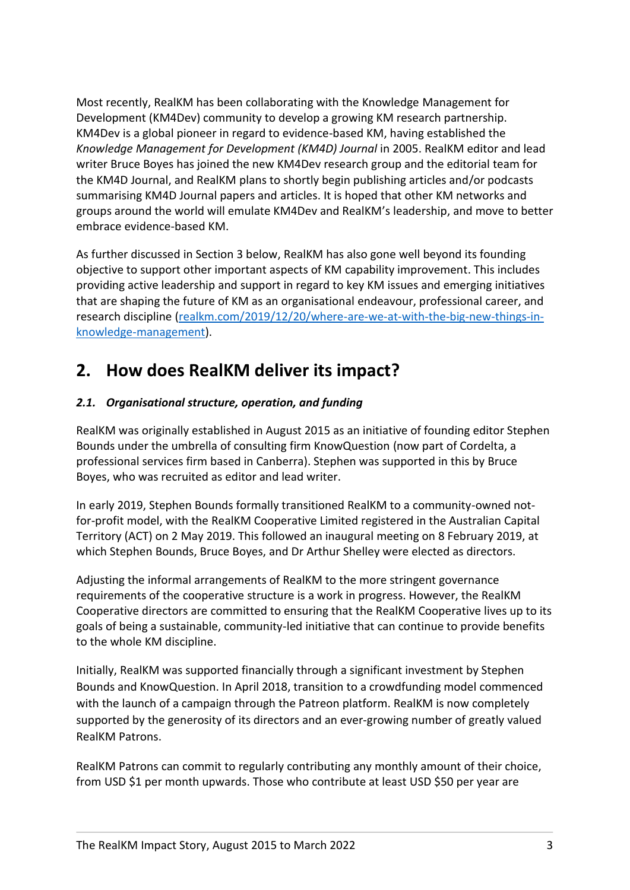Most recently, RealKM has been collaborating with the Knowledge Management for Development (KM4Dev) community to develop a growing KM research partnership. KM4Dev is a global pioneer in regard to evidence-based KM, having established the *Knowledge Management for Development (KM4D) Journal* in 2005. RealKM editor and lead writer Bruce Boyes has joined the new KM4Dev research group and the editorial team for the KM4D Journal, and RealKM plans to shortly begin publishing articles and/or podcasts summarising KM4D Journal papers and articles. It is hoped that other KM networks and groups around the world will emulate KM4Dev and RealKM's leadership, and move to better embrace evidence-based KM.

As further discussed in Section 3 below, RealKM has also gone well beyond its founding objective to support other important aspects of KM capability improvement. This includes providing active leadership and support in regard to key KM issues and emerging initiatives that are shaping the future of KM as an organisational endeavour, professional career, and research discipline [\(realkm.com/2019/12/20/where-are-we-at-with-the-big-new-things-in](https://realkm.com/2019/12/20/where-are-we-at-with-the-big-new-things-in-knowledge-management/)[knowledge-management\)](https://realkm.com/2019/12/20/where-are-we-at-with-the-big-new-things-in-knowledge-management/).

### <span id="page-3-0"></span>**2. How does RealKM deliver its impact?**

#### <span id="page-3-1"></span>*2.1. Organisational structure, operation, and funding*

RealKM was originally established in August 2015 as an initiative of founding editor Stephen Bounds under the umbrella of consulting firm KnowQuestion (now part of Cordelta, a professional services firm based in Canberra). Stephen was supported in this by Bruce Boyes, who was recruited as editor and lead writer.

In early 2019, Stephen Bounds formally transitioned RealKM to a community-owned notfor-profit model, with the RealKM Cooperative Limited registered in the Australian Capital Territory (ACT) on 2 May 2019. This followed an inaugural meeting on 8 February 2019, at which Stephen Bounds, Bruce Boyes, and Dr Arthur Shelley were elected as directors.

Adjusting the informal arrangements of RealKM to the more stringent governance requirements of the cooperative structure is a work in progress. However, the RealKM Cooperative directors are committed to ensuring that the RealKM Cooperative lives up to its goals of being a sustainable, community-led initiative that can continue to provide benefits to the whole KM discipline.

Initially, RealKM was supported financially through a significant investment by Stephen Bounds and KnowQuestion. In April 2018, transition to a crowdfunding model commenced with the launch of a campaign through the Patreon platform. RealKM is now completely supported by the generosity of its directors and an ever-growing number of greatly valued RealKM Patrons.

RealKM Patrons can commit to regularly contributing any monthly amount of their choice, from USD \$1 per month upwards. Those who contribute at least USD \$50 per year are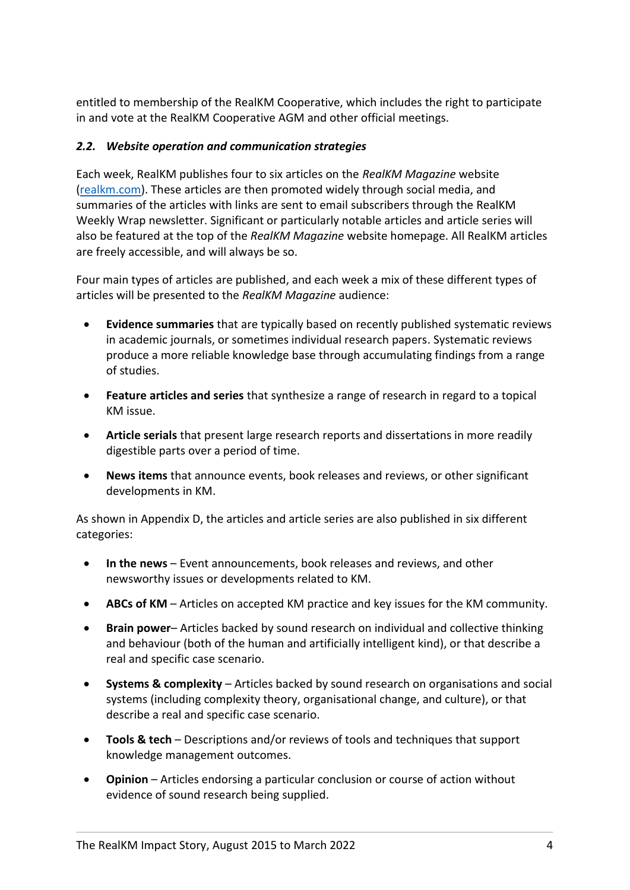entitled to membership of the RealKM Cooperative, which includes the right to participate in and vote at the RealKM Cooperative AGM and other official meetings.

#### <span id="page-4-0"></span>*2.2. Website operation and communication strategies*

Each week, RealKM publishes four to six articles on the *RealKM Magazine* website [\(realkm.com\)](https://realkm.com/). These articles are then promoted widely through social media, and summaries of the articles with links are sent to email subscribers through the RealKM Weekly Wrap newsletter. Significant or particularly notable articles and article series will also be featured at the top of the *RealKM Magazine* website homepage. All RealKM articles are freely accessible, and will always be so.

Four main types of articles are published, and each week a mix of these different types of articles will be presented to the *RealKM Magazine* audience:

- **Evidence summaries** that are typically based on recently published systematic reviews in academic journals, or sometimes individual research papers. Systematic reviews produce a more reliable knowledge base through accumulating findings from a range of studies.
- **Feature articles and series** that synthesize a range of research in regard to a topical KM issue.
- **Article serials** that present large research reports and dissertations in more readily digestible parts over a period of time.
- **News items** that announce events, book releases and reviews, or other significant developments in KM.

As shown in Appendix D, the articles and article series are also published in six different categories:

- **In the news** Event announcements, book releases and reviews, and other newsworthy issues or developments related to KM.
- **ABCs of KM** Articles on accepted KM practice and key issues for the KM community.
- **Brain power** Articles backed by sound research on individual and collective thinking and behaviour (both of the human and artificially intelligent kind), or that describe a real and specific case scenario.
- **Systems & complexity** Articles backed by sound research on organisations and social systems (including complexity theory, organisational change, and culture), or that describe a real and specific case scenario.
- **Tools & tech** Descriptions and/or reviews of tools and techniques that support knowledge management outcomes.
- **Opinion** Articles endorsing a particular conclusion or course of action without evidence of sound research being supplied.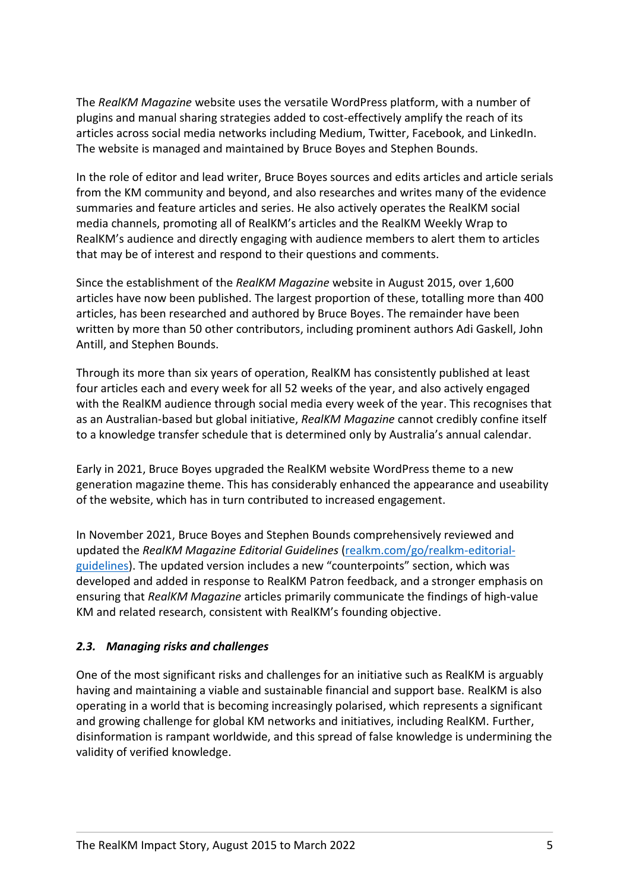The *RealKM Magazine* website uses the versatile WordPress platform, with a number of plugins and manual sharing strategies added to cost-effectively amplify the reach of its articles across social media networks including Medium, Twitter, Facebook, and LinkedIn. The website is managed and maintained by Bruce Boyes and Stephen Bounds.

In the role of editor and lead writer, Bruce Boyes sources and edits articles and article serials from the KM community and beyond, and also researches and writes many of the evidence summaries and feature articles and series. He also actively operates the RealKM social media channels, promoting all of RealKM's articles and the RealKM Weekly Wrap to RealKM's audience and directly engaging with audience members to alert them to articles that may be of interest and respond to their questions and comments.

Since the establishment of the *RealKM Magazine* website in August 2015, over 1,600 articles have now been published. The largest proportion of these, totalling more than 400 articles, has been researched and authored by Bruce Boyes. The remainder have been written by more than 50 other contributors, including prominent authors Adi Gaskell, John Antill, and Stephen Bounds.

Through its more than six years of operation, RealKM has consistently published at least four articles each and every week for all 52 weeks of the year, and also actively engaged with the RealKM audience through social media every week of the year. This recognises that as an Australian-based but global initiative, *RealKM Magazine* cannot credibly confine itself to a knowledge transfer schedule that is determined only by Australia's annual calendar.

Early in 2021, Bruce Boyes upgraded the RealKM website WordPress theme to a new generation magazine theme. This has considerably enhanced the appearance and useability of the website, which has in turn contributed to increased engagement.

In November 2021, Bruce Boyes and Stephen Bounds comprehensively reviewed and updated the *RealKM Magazine Editorial Guidelines* [\(realkm.com/go/realkm-editorial](https://realkm.com/go/realkm-editorial-guidelines/)[guidelines\)](https://realkm.com/go/realkm-editorial-guidelines/). The updated version includes a new "counterpoints" section, which was developed and added in response to RealKM Patron feedback, and a stronger emphasis on ensuring that *RealKM Magazine* articles primarily communicate the findings of high-value KM and related research, consistent with RealKM's founding objective.

#### <span id="page-5-0"></span>*2.3. Managing risks and challenges*

One of the most significant risks and challenges for an initiative such as RealKM is arguably having and maintaining a viable and sustainable financial and support base. RealKM is also operating in a world that is becoming increasingly polarised, which represents a significant and growing challenge for global KM networks and initiatives, including RealKM. Further, disinformation is rampant worldwide, and this spread of false knowledge is undermining the validity of verified knowledge.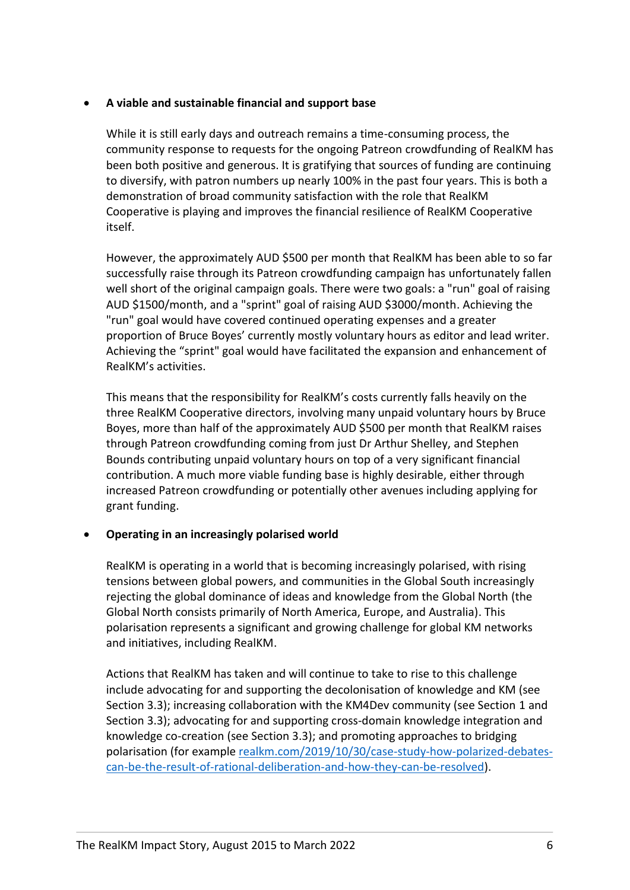#### • **A viable and sustainable financial and support base**

While it is still early days and outreach remains a time-consuming process, the community response to requests for the ongoing Patreon crowdfunding of RealKM has been both positive and generous. It is gratifying that sources of funding are continuing to diversify, with patron numbers up nearly 100% in the past four years. This is both a demonstration of broad community satisfaction with the role that RealKM Cooperative is playing and improves the financial resilience of RealKM Cooperative itself.

However, the approximately AUD \$500 per month that RealKM has been able to so far successfully raise through its Patreon crowdfunding campaign has unfortunately fallen well short of the original campaign goals. There were two goals: a "run" goal of raising AUD \$1500/month, and a "sprint" goal of raising AUD \$3000/month. Achieving the "run" goal would have covered continued operating expenses and a greater proportion of Bruce Boyes' currently mostly voluntary hours as editor and lead writer. Achieving the "sprint" goal would have facilitated the expansion and enhancement of RealKM's activities.

This means that the responsibility for RealKM's costs currently falls heavily on the three RealKM Cooperative directors, involving many unpaid voluntary hours by Bruce Boyes, more than half of the approximately AUD \$500 per month that RealKM raises through Patreon crowdfunding coming from just Dr Arthur Shelley, and Stephen Bounds contributing unpaid voluntary hours on top of a very significant financial contribution. A much more viable funding base is highly desirable, either through increased Patreon crowdfunding or potentially other avenues including applying for grant funding.

#### • **Operating in an increasingly polarised world**

RealKM is operating in a world that is becoming increasingly polarised, with rising tensions between global powers, and communities in the Global South increasingly rejecting the global dominance of ideas and knowledge from the Global North (the Global North consists primarily of North America, Europe, and Australia). This polarisation represents a significant and growing challenge for global KM networks and initiatives, including RealKM.

Actions that RealKM has taken and will continue to take to rise to this challenge include advocating for and supporting the decolonisation of knowledge and KM (see Section [3.3\)](#page-9-0); increasing collaboration with the KM4Dev community (see Section 1 and Section [3.3\)](#page-9-0); advocating for and supporting cross-domain knowledge integration and knowledge co-creation (see Section [3.3\)](#page-9-0); and promoting approaches to bridging polarisation (for example [realkm.com/2019/10/30/case-study-how-polarized-debates](https://realkm.com/2019/10/30/case-study-how-polarized-debates-can-be-the-result-of-rational-deliberation-and-how-they-can-be-resolved/)[can-be-the-result-of-rational-deliberation-and-how-they-can-be-resolved\)](https://realkm.com/2019/10/30/case-study-how-polarized-debates-can-be-the-result-of-rational-deliberation-and-how-they-can-be-resolved/).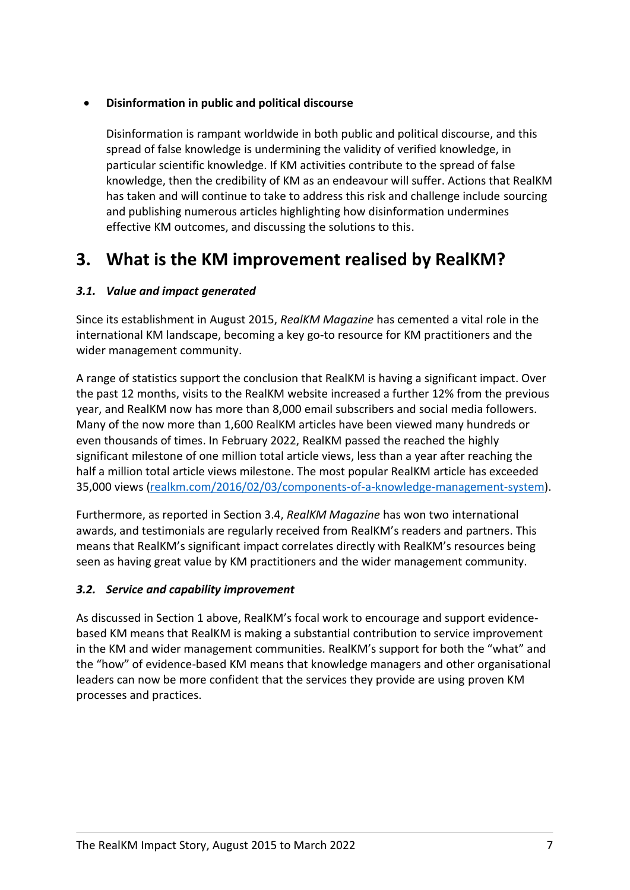#### • **Disinformation in public and political discourse**

Disinformation is rampant worldwide in both public and political discourse, and this spread of false knowledge is undermining the validity of verified knowledge, in particular scientific knowledge. If KM activities contribute to the spread of false knowledge, then the credibility of KM as an endeavour will suffer. Actions that RealKM has taken and will continue to take to address this risk and challenge include sourcing and publishing numerous articles highlighting how disinformation undermines effective KM outcomes, and discussing the solutions to this.

### <span id="page-7-0"></span>**3. What is the KM improvement realised by RealKM?**

#### <span id="page-7-1"></span>*3.1. Value and impact generated*

Since its establishment in August 2015, *RealKM Magazine* has cemented a vital role in the international KM landscape, becoming a key go-to resource for KM practitioners and the wider management community.

A range of statistics support the conclusion that RealKM is having a significant impact. Over the past 12 months, visits to the RealKM website increased a further 12% from the previous year, and RealKM now has more than 8,000 email subscribers and social media followers. Many of the now more than 1,600 RealKM articles have been viewed many hundreds or even thousands of times. In February 2022, RealKM passed the reached the highly significant milestone of one million total article views, less than a year after reaching the half a million total article views milestone. The most popular RealKM article has exceeded 35,000 views [\(realkm.com/2016/02/03/components-of-a-knowledge-management-system\)](https://realkm.com/2016/02/03/components-of-a-knowledge-management-system/).

Furthermore, as reported in Section 3.4, *RealKM Magazine* has won two international awards, and testimonials are regularly received from RealKM's readers and partners. This means that RealKM's significant impact correlates directly with RealKM's resources being seen as having great value by KM practitioners and the wider management community.

#### <span id="page-7-2"></span>*3.2. Service and capability improvement*

As discussed in Section 1 above, RealKM's focal work to encourage and support evidencebased KM means that RealKM is making a substantial contribution to service improvement in the KM and wider management communities. RealKM's support for both the "what" and the "how" of evidence-based KM means that knowledge managers and other organisational leaders can now be more confident that the services they provide are using proven KM processes and practices.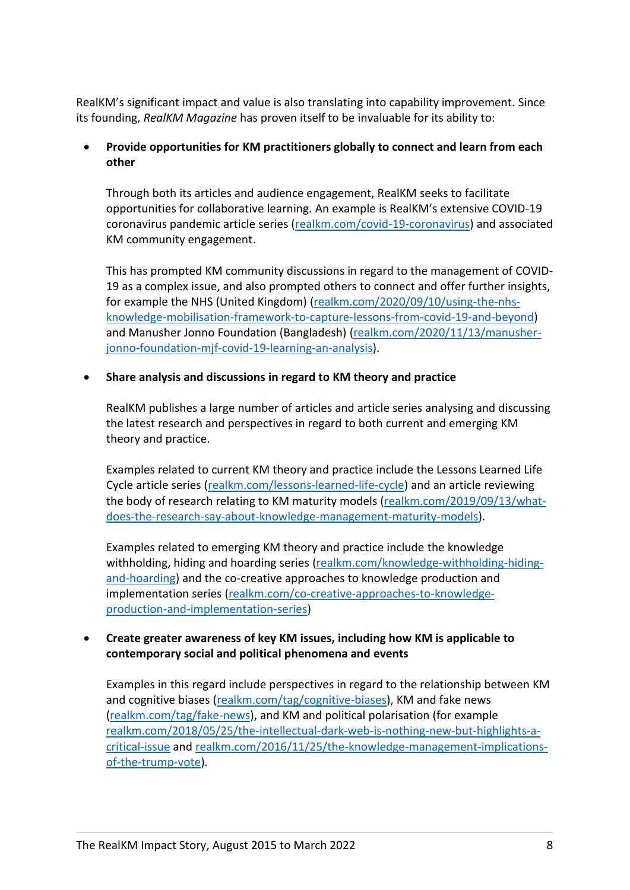RealKM's significant impact and value is also translating into capability improvement. Since its founding, *RealKM Magazine* has proven itself to be invaluable for its ability to:

#### • **Provide opportunities for KM practitioners globally to connect and learn from each other**

Through both its articles and audience engagement, RealKM seeks to facilitate opportunities for collaborative learning. An example is RealKM's extensive COVID-19 coronavirus pandemic article series [\(realkm.com/covid-19-coronavirus\)](https://realkm.com/covid-19-coronavirus/) and associated KM community engagement.

This has prompted KM community discussions in regard to the management of COVID-19 as a complex issue, and also prompted others to connect and offer further insights, for example the NHS (United Kingdom) [\(realkm.com/2020/09/10/using-the-nhs](https://realkm.com/2020/09/10/using-the-nhs-knowledge-mobilisation-framework-to-capture-lessons-from-covid-19-and-beyond/)[knowledge-mobilisation-framework-to-capture-lessons-from-covid-19-and-beyond\)](https://realkm.com/2020/09/10/using-the-nhs-knowledge-mobilisation-framework-to-capture-lessons-from-covid-19-and-beyond/) and Manusher Jonno Foundation (Bangladesh) [\(realkm.com/2020/11/13/manusher](https://realkm.com/2020/11/13/manusher-jonno-foundation-mjf-covid-19-learning-an-analysis/)[jonno-foundation-mjf-covid-19-learning-an-analysis\)](https://realkm.com/2020/11/13/manusher-jonno-foundation-mjf-covid-19-learning-an-analysis/).

#### • **Share analysis and discussions in regard to KM theory and practice**

RealKM publishes a large number of articles and article series analysing and discussing the latest research and perspectives in regard to both current and emerging KM theory and practice.

Examples related to current KM theory and practice include the Lessons Learned Life Cycle article series [\(realkm.com/lessons-learned-life-cycle\)](https://realkm.com/lessons-learned-life-cycle/) and an article reviewing the body of research relating to KM maturity models [\(realkm.com/2019/09/13/what](https://realkm.com/2019/09/13/what-does-the-research-say-about-knowledge-management-maturity-models/)[does-the-research-say-about-knowledge-management-maturity-models\)](https://realkm.com/2019/09/13/what-does-the-research-say-about-knowledge-management-maturity-models/).

Examples related to emerging KM theory and practice include the knowledge withholding, hiding and hoarding series [\(realkm.com/knowledge-withholding-hiding](https://realkm.com/knowledge-withholding-hiding-and-hoarding/)[and-hoarding\)](https://realkm.com/knowledge-withholding-hiding-and-hoarding/) and the co-creative approaches to knowledge production and implementation series [\(realkm.com/co-creative-approaches-to-knowledge](https://realkm.com/co-creative-approaches-to-knowledge-production-and-implementation-series/)[production-and-implementation-series\)](https://realkm.com/co-creative-approaches-to-knowledge-production-and-implementation-series/)

#### • **Create greater awareness of key KM issues, including how KM is applicable to contemporary social and political phenomena and events**

Examples in this regard include perspectives in regard to the relationship between KM and cognitive biases [\(realkm.com/tag/cognitive-biases\)](https://realkm.com/tag/cognitive-biases/), KM and fake news [\(realkm.com/tag/fake-news\)](https://realkm.com/tag/fake-news/), and KM and political polarisation (for example [realkm.com/2018/05/25/the-intellectual-dark-web-is-nothing-new-but-highlights-a](https://realkm.com/2018/05/25/the-intellectual-dark-web-is-nothing-new-but-highlights-a-critical-issue/)[critical-issue](https://realkm.com/2018/05/25/the-intellectual-dark-web-is-nothing-new-but-highlights-a-critical-issue/) and [realkm.com/2016/11/25/the-knowledge-management-implications](https://realkm.com/2016/11/25/the-knowledge-management-implications-of-the-trump-vote/)[of-the-trump-vote\)](https://realkm.com/2016/11/25/the-knowledge-management-implications-of-the-trump-vote/).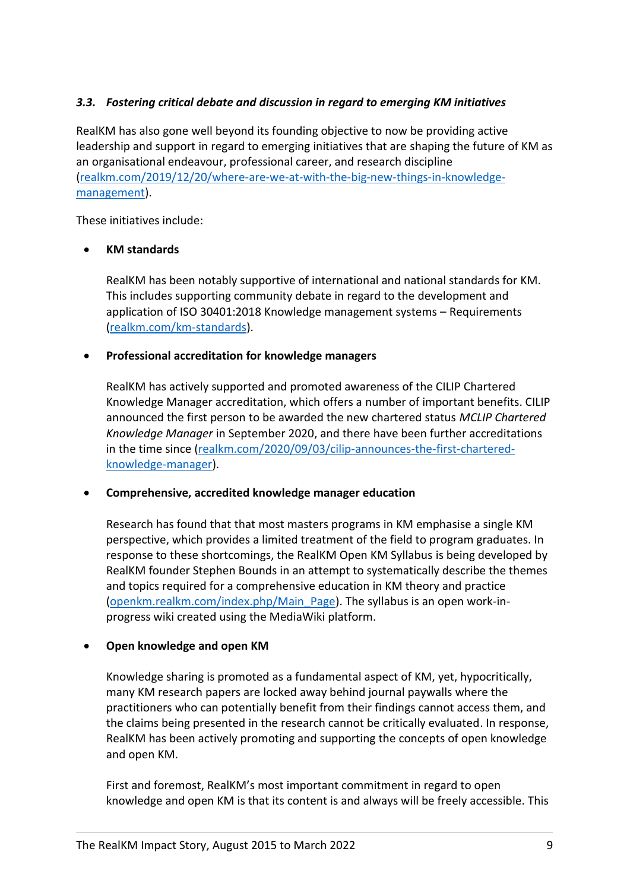#### <span id="page-9-0"></span>*3.3. Fostering critical debate and discussion in regard to emerging KM initiatives*

RealKM has also gone well beyond its founding objective to now be providing active leadership and support in regard to emerging initiatives that are shaping the future of KM as an organisational endeavour, professional career, and research discipline [\(realkm.com/2019/12/20/where-are-we-at-with-the-big-new-things-in-knowledge](https://realkm.com/2019/12/20/where-are-we-at-with-the-big-new-things-in-knowledge-management/)[management\)](https://realkm.com/2019/12/20/where-are-we-at-with-the-big-new-things-in-knowledge-management/).

These initiatives include:

#### • **KM standards**

RealKM has been notably supportive of international and national standards for KM. This includes supporting community debate in regard to the development and application of ISO 30401:2018 Knowledge management systems – Requirements [\(realkm.com/km-standards\)](https://realkm.com/km-standards/).

#### • **Professional accreditation for knowledge managers**

RealKM has actively supported and promoted awareness of the CILIP Chartered Knowledge Manager accreditation, which offers a number of important benefits. CILIP announced the first person to be awarded the new chartered status *MCLIP Chartered Knowledge Manager* in September 2020, and there have been further accreditations in the time since [\(realkm.com/2020/09/03/cilip-announces-the-first-chartered](https://realkm.com/2020/09/03/cilip-announces-the-first-chartered-knowledge-manager/)[knowledge-manager\)](https://realkm.com/2020/09/03/cilip-announces-the-first-chartered-knowledge-manager/).

#### • **Comprehensive, accredited knowledge manager education**

Research has found that that most masters programs in KM emphasise a single KM perspective, which provides a limited treatment of the field to program graduates. In response to these shortcomings, the RealKM Open KM Syllabus is being developed by RealKM founder Stephen Bounds in an attempt to systematically describe the themes and topics required for a comprehensive education in KM theory and practice [\(openkm.realkm.com/index.php/Main\\_Page\)](https://openkm.realkm.com/index.php/Main_Page). The syllabus is an open work-inprogress wiki created using the MediaWiki platform.

#### • **Open knowledge and open KM**

Knowledge sharing is promoted as a fundamental aspect of KM, yet, hypocritically, many KM research papers are locked away behind journal paywalls where the practitioners who can potentially benefit from their findings cannot access them, and the claims being presented in the research cannot be critically evaluated. In response, RealKM has been actively promoting and supporting the concepts of open knowledge and open KM.

First and foremost, RealKM's most important commitment in regard to open knowledge and open KM is that its content is and always will be freely accessible. This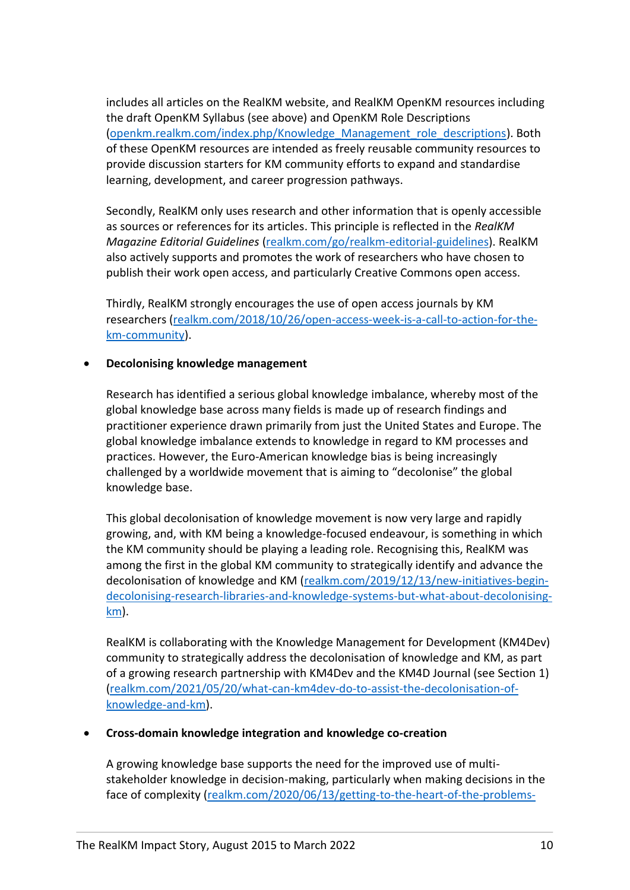includes all articles on the RealKM website, and RealKM OpenKM resources including the draft OpenKM Syllabus (see above) and OpenKM Role Descriptions [\(openkm.realkm.com/index.php/Knowledge\\_Management\\_role\\_descriptions\)](https://openkm.realkm.com/index.php/Knowledge_Management_role_descriptions). Both of these OpenKM resources are intended as freely reusable community resources to provide discussion starters for KM community efforts to expand and standardise learning, development, and career progression pathways.

Secondly, RealKM only uses research and other information that is openly accessible as sources or references for its articles. This principle is reflected in the *RealKM Magazine Editorial Guidelines* [\(realkm.com/go/realkm-editorial-guidelines\)](https://realkm.com/go/realkm-editorial-guidelines/). RealKM also actively supports and promotes the work of researchers who have chosen to publish their work open access, and particularly Creative Commons open access.

Thirdly, RealKM strongly encourages the use of open access journals by KM researchers [\(realkm.com/2018/10/26/open-access-week-is-a-call-to-action-for-the](https://realkm.com/2018/10/26/open-access-week-is-a-call-to-action-for-the-km-community/)[km-community\)](https://realkm.com/2018/10/26/open-access-week-is-a-call-to-action-for-the-km-community/).

#### • **Decolonising knowledge management**

Research has identified a serious global knowledge imbalance, whereby most of the global knowledge base across many fields is made up of research findings and practitioner experience drawn primarily from just the United States and Europe. The global knowledge imbalance extends to knowledge in regard to KM processes and practices. However, the Euro-American knowledge bias is being increasingly challenged by a worldwide movement that is aiming to "decolonise" the global knowledge base.

This global decolonisation of knowledge movement is now very large and rapidly growing, and, with KM being a knowledge-focused endeavour, is something in which the KM community should be playing a leading role. Recognising this, RealKM was among the first in the global KM community to strategically identify and advance the decolonisation of knowledge and KM [\(realkm.com/2019/12/13/new-initiatives-begin](https://realkm.com/2019/12/13/new-initiatives-begin-decolonising-research-libraries-and-knowledge-systems-but-what-about-decolonising-km/)[decolonising-research-libraries-and-knowledge-systems-but-what-about-decolonising](https://realkm.com/2019/12/13/new-initiatives-begin-decolonising-research-libraries-and-knowledge-systems-but-what-about-decolonising-km/)[km\)](https://realkm.com/2019/12/13/new-initiatives-begin-decolonising-research-libraries-and-knowledge-systems-but-what-about-decolonising-km/).

RealKM is collaborating with the Knowledge Management for Development (KM4Dev) community to strategically address the decolonisation of knowledge and KM, as part of a growing research partnership with KM4Dev and the KM4D Journal (see Section 1) [\(realkm.com/2021/05/20/what-can-km4dev-do-to-assist-the-decolonisation-of](https://realkm.com/2021/05/20/what-can-km4dev-do-to-assist-the-decolonisation-of-knowledge-and-km/)[knowledge-and-km\)](https://realkm.com/2021/05/20/what-can-km4dev-do-to-assist-the-decolonisation-of-knowledge-and-km/).

#### • **Cross-domain knowledge integration and knowledge co-creation**

A growing knowledge base supports the need for the improved use of multistakeholder knowledge in decision-making, particularly when making decisions in the face of complexity [\(realkm.com/2020/06/13/getting-to-the-heart-of-the-problems-](https://realkm.com/2020/06/13/getting-to-the-heart-of-the-problems-with-boeing-takata-and-toyota-part-4-embracing-a-different-approach-to-knowledge-management/)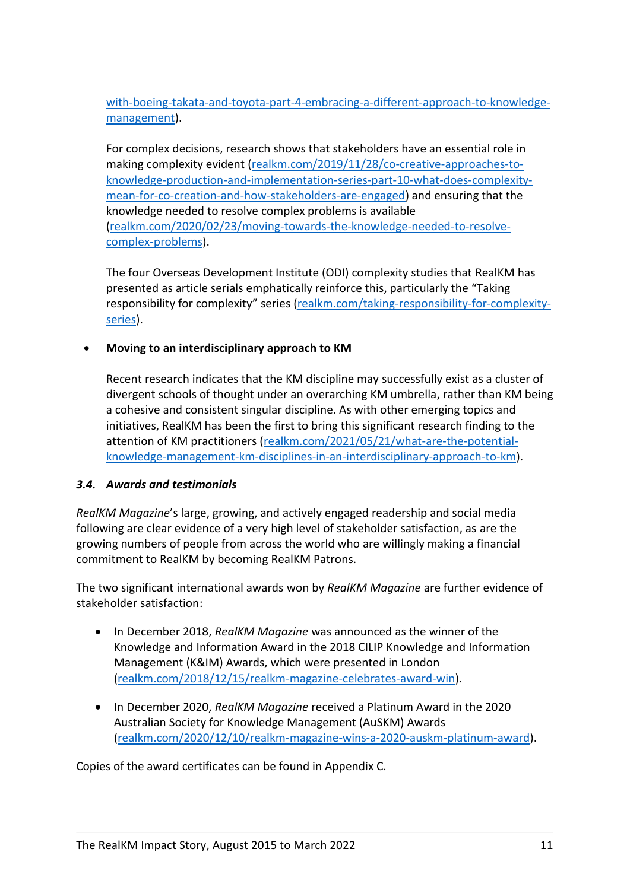[with-boeing-takata-and-toyota-part-4-embracing-a-different-approach-to-knowledge](https://realkm.com/2020/06/13/getting-to-the-heart-of-the-problems-with-boeing-takata-and-toyota-part-4-embracing-a-different-approach-to-knowledge-management/)[management\)](https://realkm.com/2020/06/13/getting-to-the-heart-of-the-problems-with-boeing-takata-and-toyota-part-4-embracing-a-different-approach-to-knowledge-management/).

For complex decisions, research shows that stakeholders have an essential role in making complexity evident [\(realkm.com/2019/11/28/co-creative-approaches-to](https://realkm.com/2019/11/28/co-creative-approaches-to-knowledge-production-and-implementation-series-part-10-what-does-complexity-mean-for-co-creation-and-how-stakeholders-are-engaged/)[knowledge-production-and-implementation-series-part-10-what-does-complexity](https://realkm.com/2019/11/28/co-creative-approaches-to-knowledge-production-and-implementation-series-part-10-what-does-complexity-mean-for-co-creation-and-how-stakeholders-are-engaged/)[mean-for-co-creation-and-how-stakeholders-are-engaged\)](https://realkm.com/2019/11/28/co-creative-approaches-to-knowledge-production-and-implementation-series-part-10-what-does-complexity-mean-for-co-creation-and-how-stakeholders-are-engaged/) and ensuring that the knowledge needed to resolve complex problems is available [\(realkm.com/2020/02/23/moving-towards-the-knowledge-needed-to-resolve](https://realkm.com/2020/02/23/moving-towards-the-knowledge-needed-to-resolve-complex-problems/)[complex-problems\)](https://realkm.com/2020/02/23/moving-towards-the-knowledge-needed-to-resolve-complex-problems/).

The four Overseas Development Institute (ODI) complexity studies that RealKM has presented as article serials emphatically reinforce this, particularly the "Taking responsibility for complexity" series [\(realkm.com/taking-responsibility-for-complexity](https://realkm.com/taking-responsibility-for-complexity-series/)[series\)](https://realkm.com/taking-responsibility-for-complexity-series/).

#### • **Moving to an interdisciplinary approach to KM**

Recent research indicates that the KM discipline may successfully exist as a cluster of divergent schools of thought under an overarching KM umbrella, rather than KM being a cohesive and consistent singular discipline. As with other emerging topics and initiatives, RealKM has been the first to bring this significant research finding to the attention of KM practitioners [\(realkm.com/2021/05/21/what-are-the-potential](https://realkm.com/2021/05/21/what-are-the-potential-knowledge-management-km-disciplines-in-an-interdisciplinary-approach-to-km/)[knowledge-management-km-disciplines-in-an-interdisciplinary-approach-to-km\)](https://realkm.com/2021/05/21/what-are-the-potential-knowledge-management-km-disciplines-in-an-interdisciplinary-approach-to-km/).

#### <span id="page-11-0"></span>*3.4. Awards and testimonials*

*RealKM Magazine*'s large, growing, and actively engaged readership and social media following are clear evidence of a very high level of stakeholder satisfaction, as are the growing numbers of people from across the world who are willingly making a financial commitment to RealKM by becoming RealKM Patrons.

The two significant international awards won by *RealKM Magazine* are further evidence of stakeholder satisfaction:

- In December 2018, *RealKM Magazine* was announced as the winner of the Knowledge and Information Award in the 2018 CILIP Knowledge and Information Management (K&IM) Awards, which were presented in London [\(realkm.com/2018/12/15/realkm-magazine-celebrates-award-win\)](https://realkm.com/2018/12/15/realkm-magazine-celebrates-award-win/).
- In December 2020, *RealKM Magazine* received a Platinum Award in the 2020 Australian Society for Knowledge Management (AuSKM) Awards [\(realkm.com/2020/12/10/realkm-magazine-wins-a-2020-auskm-platinum-award\)](https://realkm.com/2020/12/10/realkm-magazine-wins-a-2020-auskm-platinum-award/).

Copies of the award certificates can be found in Appendix C.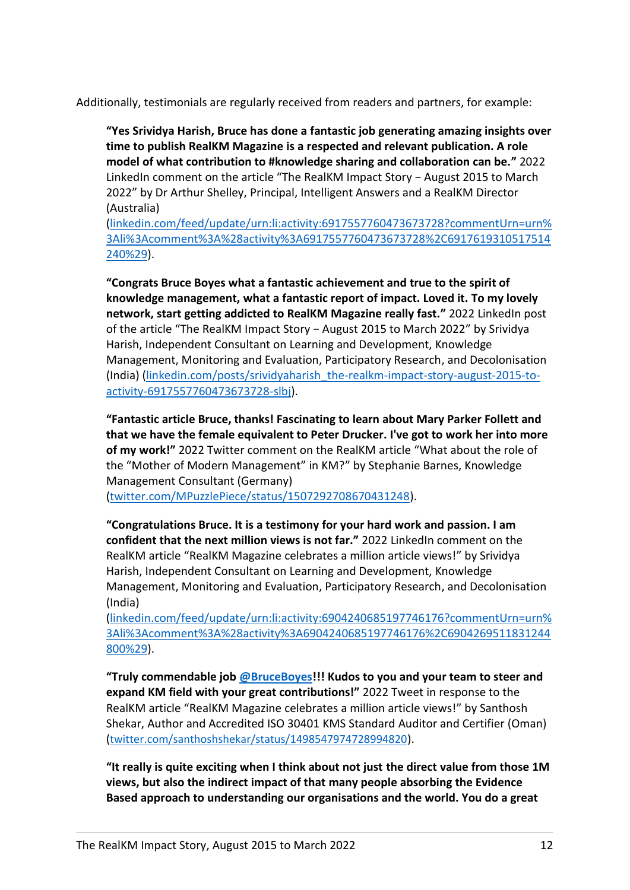Additionally, testimonials are regularly received from readers and partners, for example:

**"Yes Srividya Harish, Bruce has done a fantastic job generating amazing insights over time to publish RealKM Magazine is a respected and relevant publication. A role model of what contribution to #knowledge sharing and collaboration can be."** 2022 LinkedIn comment on the article "The RealKM Impact Story − August 2015 to March 2022" by Dr Arthur Shelley, Principal, Intelligent Answers and a RealKM Director (Australia)

[\(linkedin.com/feed/update/urn:li:activity:6917557760473673728?commentUrn=urn%](https://www.linkedin.com/feed/update/urn:li:activity:6917557760473673728?commentUrn=urn%3Ali%3Acomment%3A%28activity%3A6917557760473673728%2C6917619310517514240%29) [3Ali%3Acomment%3A%28activity%3A6917557760473673728%2C6917619310517514](https://www.linkedin.com/feed/update/urn:li:activity:6917557760473673728?commentUrn=urn%3Ali%3Acomment%3A%28activity%3A6917557760473673728%2C6917619310517514240%29) [240%29\)](https://www.linkedin.com/feed/update/urn:li:activity:6917557760473673728?commentUrn=urn%3Ali%3Acomment%3A%28activity%3A6917557760473673728%2C6917619310517514240%29).

**"Congrats Bruce Boyes what a fantastic achievement and true to the spirit of knowledge management, what a fantastic report of impact. Loved it. To my lovely network, start getting addicted to RealKM Magazine really fast."** 2022 LinkedIn post of the article "The RealKM Impact Story − August 2015 to March 2022" by Srividya Harish, Independent Consultant on Learning and Development, Knowledge Management, Monitoring and Evaluation, Participatory Research, and Decolonisation (India) [\(linkedin.com/posts/srividyaharish\\_the-realkm-impact-story-august-2015-to](https://www.linkedin.com/posts/srividyaharish_the-realkm-impact-story-august-2015-to-activity-6917557760473673728-slbj)[activity-6917557760473673728-slbj\)](https://www.linkedin.com/posts/srividyaharish_the-realkm-impact-story-august-2015-to-activity-6917557760473673728-slbj).

**"Fantastic article Bruce, thanks! Fascinating to learn about Mary Parker Follett and that we have the female equivalent to Peter Drucker. I've got to work her into more of my work!"** 2022 Twitter comment on the RealKM article "What about the role of the "Mother of Modern Management" in KM?" by Stephanie Barnes, Knowledge Management Consultant (Germany)

[\(twitter.com/MPuzzlePiece/status/1507292708670431248\)](twitter.com/MPuzzlePiece/status/1507292708670431248).

**"Congratulations Bruce. It is a testimony for your hard work and passion. I am confident that the next million views is not far."** 2022 LinkedIn comment on the RealKM article "RealKM Magazine celebrates a million article views!" by Srividya Harish, Independent Consultant on Learning and Development, Knowledge Management, Monitoring and Evaluation, Participatory Research, and Decolonisation (India)

[\(linkedin.com/feed/update/urn:li:activity:6904240685197746176?commentUrn=urn%](https://www.linkedin.com/feed/update/urn:li:activity:6904240685197746176?commentUrn=urn%3Ali%3Acomment%3A%28activity%3A6904240685197746176%2C6904269511831244800%29) [3Ali%3Acomment%3A%28activity%3A6904240685197746176%2C6904269511831244](https://www.linkedin.com/feed/update/urn:li:activity:6904240685197746176?commentUrn=urn%3Ali%3Acomment%3A%28activity%3A6904240685197746176%2C6904269511831244800%29) [800%29\)](https://www.linkedin.com/feed/update/urn:li:activity:6904240685197746176?commentUrn=urn%3Ali%3Acomment%3A%28activity%3A6904240685197746176%2C6904269511831244800%29).

**"Truly commendable job [@BruceBoyes!](https://twitter.com/BruceBoyes)!! Kudos to you and your team to steer and expand KM field with your great contributions!"** 2022 Tweet in response to the RealKM article "RealKM Magazine celebrates a million article views!" by Santhosh Shekar, Author and Accredited ISO 30401 KMS Standard Auditor and Certifier (Oman) ([twitter.com/santhoshshekar/status/1498547974728994820](https://twitter.com/santhoshshekar/status/1498547974728994820)).

**"It really is quite exciting when I think about not just the direct value from those 1M views, but also the indirect impact of that many people absorbing the Evidence Based approach to understanding our organisations and the world. You do a great**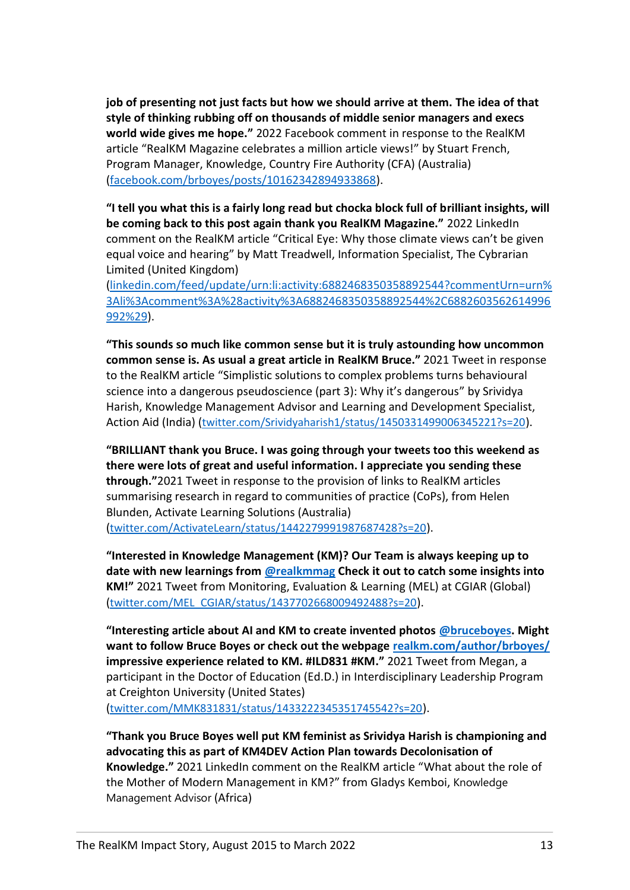**job of presenting not just facts but how we should arrive at them. The idea of that style of thinking rubbing off on thousands of middle senior managers and execs world wide gives me hope."** 2022 Facebook comment in response to the RealKM article "RealKM Magazine celebrates a million article views!" by Stuart French, Program Manager, Knowledge, Country Fire Authority (CFA) (Australia) [\(facebook.com/brboyes/posts/10162342894933868\)](https://www.facebook.com/brboyes/posts/10162342894933868).

**"I tell you what this is a fairly long read but chocka block full of brilliant insights, will be coming back to this post again thank you RealKM Magazine."** 2022 LinkedIn comment on the RealKM article "Critical Eye: Why those climate views can't be given equal voice and hearing" by Matt Treadwell, Information Specialist, The Cybrarian Limited (United Kingdom)

[\(linkedin.com/feed/update/urn:li:activity:6882468350358892544?commentUrn=urn%](https://www.linkedin.com/feed/update/urn:li:activity:6882468350358892544?commentUrn=urn%3Ali%3Acomment%3A%28activity%3A6882468350358892544%2C6882603562614996992%29) [3Ali%3Acomment%3A%28activity%3A6882468350358892544%2C6882603562614996](https://www.linkedin.com/feed/update/urn:li:activity:6882468350358892544?commentUrn=urn%3Ali%3Acomment%3A%28activity%3A6882468350358892544%2C6882603562614996992%29) [992%29\)](https://www.linkedin.com/feed/update/urn:li:activity:6882468350358892544?commentUrn=urn%3Ali%3Acomment%3A%28activity%3A6882468350358892544%2C6882603562614996992%29).

**"This sounds so much like common sense but it is truly astounding how uncommon common sense is. As usual a great article in RealKM Bruce."** 2021 Tweet in response to the RealKM article "Simplistic solutions to complex problems turns behavioural science into a dangerous pseudoscience (part 3): Why it's dangerous" by Srividya Harish, Knowledge Management Advisor and Learning and Development Specialist, Action Aid (India) ([twitter.com/Srividyaharish1/status/1450331499006345221?s=20](https://twitter.com/Srividyaharish1/status/1450331499006345221?s=20)).

**"BRILLIANT thank you Bruce. I was going through your tweets too this weekend as there were lots of great and useful information. I appreciate you sending these through."**2021 Tweet in response to the provision of links to RealKM articles summarising research in regard to communities of practice (CoPs), from Helen Blunden, Activate Learning Solutions (Australia) ([twitter.com/ActivateLearn/status/1442279991987687428?s=20](https://twitter.com/ActivateLearn/status/1442279991987687428?s=20)).

**"Interested in Knowledge Management (KM)? Our Team is always keeping up to date with new learnings from [@realkmmag](https://twitter.com/realkmmag) Check it out to catch some insights into KM!"** 2021 Tweet from Monitoring, Evaluation & Learning (MEL) at CGIAR (Global) ([twitter.com/MEL\\_CGIAR/status/1437702668009492488?s=20](https://twitter.com/MEL_CGIAR/status/1437702668009492488?s=20)).

**"Interesting article about AI and KM to create invented photos [@bruceboyes.](https://twitter.com/BruceBoyes) Might want to follow Bruce Boyes or check out the webpage [realkm.com/author/brboyes/](https://realkm.com/author/brboyes/) impressive experience related to KM. #ILD831 #KM."** 2021 Tweet from Megan, a participant in the Doctor of Education (Ed.D.) in Interdisciplinary Leadership Program at Creighton University (United States) ([twitter.com/MMK831831/status/1433222345351745542?s=20](https://twitter.com/MMK831831/status/1433222345351745542?s=20)).

**"Thank you Bruce Boyes well put KM feminist as Srividya Harish is championing and advocating this as part of KM4DEV Action Plan towards Decolonisation of Knowledge."** 2021 LinkedIn comment on the RealKM article "What about the role of the Mother of Modern Management in KM?" from Gladys Kemboi, Knowledge Management Advisor (Africa)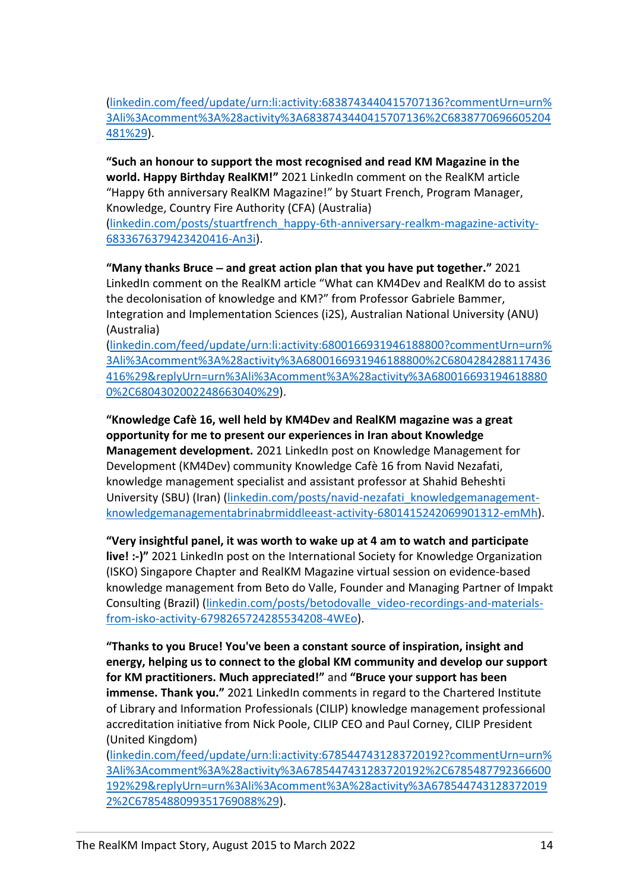[\(linkedin.com/feed/update/urn:li:activity:6838743440415707136?commentUrn=urn%](https://www.linkedin.com/feed/update/urn:li:activity:6838743440415707136?commentUrn=urn%3Ali%3Acomment%3A%28activity%3A6838743440415707136%2C6838770696605204481%29) [3Ali%3Acomment%3A%28activity%3A6838743440415707136%2C6838770696605204](https://www.linkedin.com/feed/update/urn:li:activity:6838743440415707136?commentUrn=urn%3Ali%3Acomment%3A%28activity%3A6838743440415707136%2C6838770696605204481%29) [481%29\)](https://www.linkedin.com/feed/update/urn:li:activity:6838743440415707136?commentUrn=urn%3Ali%3Acomment%3A%28activity%3A6838743440415707136%2C6838770696605204481%29).

**"Such an honour to support the most recognised and read KM Magazine in the world. Happy Birthday RealKM!"** 2021 LinkedIn comment on the RealKM article "Happy 6th anniversary RealKM Magazine!" by Stuart French, Program Manager, Knowledge, Country Fire Authority (CFA) (Australia) [\(linkedin.com/posts/stuartfrench\\_happy-6th-anniversary-realkm-magazine-activity-](https://www.linkedin.com/posts/stuartfrench_happy-6th-anniversary-realkm-magazine-activity-6833676379423420416-An3i)[6833676379423420416-An3i\)](https://www.linkedin.com/posts/stuartfrench_happy-6th-anniversary-realkm-magazine-activity-6833676379423420416-An3i).

**"Many thanks Bruce** − **and great action plan that you have put together."** 2021 LinkedIn comment on the RealKM article "What can KM4Dev and RealKM do to assist the decolonisation of knowledge and KM?" from Professor Gabriele Bammer, Integration and Implementation Sciences (i2S), Australian National University (ANU) (Australia)

[\(linkedin.com/feed/update/urn:li:activity:6800166931946188800?commentUrn=urn%](https://www.linkedin.com/feed/update/urn:li:activity:6800166931946188800?commentUrn=urn%3Ali%3Acomment%3A%28activity%3A6800166931946188800%2C6804284288117436416%29&replyUrn=urn%3Ali%3Acomment%3A%28activity%3A6800166931946188800%2C6804302002248663040%29) [3Ali%3Acomment%3A%28activity%3A6800166931946188800%2C6804284288117436](https://www.linkedin.com/feed/update/urn:li:activity:6800166931946188800?commentUrn=urn%3Ali%3Acomment%3A%28activity%3A6800166931946188800%2C6804284288117436416%29&replyUrn=urn%3Ali%3Acomment%3A%28activity%3A6800166931946188800%2C6804302002248663040%29) [416%29&replyUrn=urn%3Ali%3Acomment%3A%28activity%3A680016693194618880](https://www.linkedin.com/feed/update/urn:li:activity:6800166931946188800?commentUrn=urn%3Ali%3Acomment%3A%28activity%3A6800166931946188800%2C6804284288117436416%29&replyUrn=urn%3Ali%3Acomment%3A%28activity%3A6800166931946188800%2C6804302002248663040%29) [0%2C6804302002248663040%29\)](https://www.linkedin.com/feed/update/urn:li:activity:6800166931946188800?commentUrn=urn%3Ali%3Acomment%3A%28activity%3A6800166931946188800%2C6804284288117436416%29&replyUrn=urn%3Ali%3Acomment%3A%28activity%3A6800166931946188800%2C6804302002248663040%29).

**"Knowledge Cafè 16, well held by KM4Dev and RealKM magazine was a great opportunity for me to present our experiences in Iran about Knowledge Management development.** 2021 LinkedIn post on Knowledge Management for Development (KM4Dev) community Knowledge Cafè 16 from Navid Nezafati, knowledge management specialist and assistant professor at Shahid Beheshti University (SBU) (Iran) [\(linkedin.com/posts/navid-nezafati\\_knowledgemanagement](https://www.linkedin.com/posts/navid-nezafati_knowledgemanagement-knowledgemanagementabrinabrmiddleeast-activity-6801415242069901312-emMh)[knowledgemanagementabrinabrmiddleeast-activity-6801415242069901312-emMh\)](https://www.linkedin.com/posts/navid-nezafati_knowledgemanagement-knowledgemanagementabrinabrmiddleeast-activity-6801415242069901312-emMh).

**"Very insightful panel, it was worth to wake up at 4 am to watch and participate live! :-)"** 2021 LinkedIn post on the International Society for Knowledge Organization (ISKO) Singapore Chapter and RealKM Magazine virtual session on evidence-based knowledge management from Beto do Valle, Founder and Managing Partner of Impakt Consulting (Brazil) [\(linkedin.com/posts/betodovalle\\_video-recordings-and-materials](https://www.linkedin.com/posts/betodovalle_video-recordings-and-materials-from-isko-activity-6798265724285534208-4WEo)[from-isko-activity-6798265724285534208-4WEo\)](https://www.linkedin.com/posts/betodovalle_video-recordings-and-materials-from-isko-activity-6798265724285534208-4WEo).

**"Thanks to you Bruce! You've been a constant source of inspiration, insight and energy, helping us to connect to the global KM community and develop our support for KM practitioners. Much appreciated!"** and **"Bruce your support has been immense. Thank you."** 2021 LinkedIn comments in regard to the Chartered Institute of Library and Information Professionals (CILIP) knowledge management professional accreditation initiative from Nick Poole, CILIP CEO and Paul Corney, CILIP President (United Kingdom)

[\(linkedin.com/feed/update/urn:li:activity:6785447431283720192?commentUrn=urn%](https://www.linkedin.com/feed/update/urn:li:activity:6785447431283720192?commentUrn=urn%3Ali%3Acomment%3A%28activity%3A6785447431283720192%2C6785487792366600192%29&replyUrn=urn%3Ali%3Acomment%3A%28activity%3A6785447431283720192%2C6785488099351769088%29) [3Ali%3Acomment%3A%28activity%3A6785447431283720192%2C6785487792366600](https://www.linkedin.com/feed/update/urn:li:activity:6785447431283720192?commentUrn=urn%3Ali%3Acomment%3A%28activity%3A6785447431283720192%2C6785487792366600192%29&replyUrn=urn%3Ali%3Acomment%3A%28activity%3A6785447431283720192%2C6785488099351769088%29) [192%29&replyUrn=urn%3Ali%3Acomment%3A%28activity%3A678544743128372019](https://www.linkedin.com/feed/update/urn:li:activity:6785447431283720192?commentUrn=urn%3Ali%3Acomment%3A%28activity%3A6785447431283720192%2C6785487792366600192%29&replyUrn=urn%3Ali%3Acomment%3A%28activity%3A6785447431283720192%2C6785488099351769088%29) [2%2C6785488099351769088%29\)](https://www.linkedin.com/feed/update/urn:li:activity:6785447431283720192?commentUrn=urn%3Ali%3Acomment%3A%28activity%3A6785447431283720192%2C6785487792366600192%29&replyUrn=urn%3Ali%3Acomment%3A%28activity%3A6785447431283720192%2C6785488099351769088%29).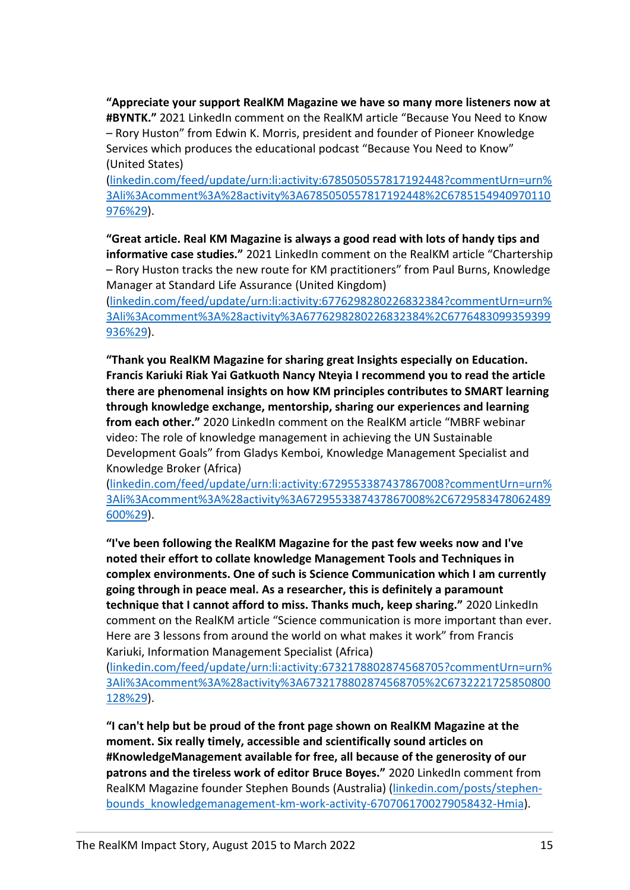**"Appreciate your support RealKM Magazine we have so many more listeners now at #BYNTK."** 2021 LinkedIn comment on the RealKM article "Because You Need to Know – Rory Huston" from Edwin K. Morris, president and founder of Pioneer Knowledge Services which produces the educational podcast "Because You Need to Know" (United States)

[\(linkedin.com/feed/update/urn:li:activity:6785050557817192448?commentUrn=urn%](https://www.linkedin.com/feed/update/urn:li:activity:6785050557817192448?commentUrn=urn%3Ali%3Acomment%3A%28activity%3A6785050557817192448%2C6785154940970110976%29) [3Ali%3Acomment%3A%28activity%3A6785050557817192448%2C6785154940970110](https://www.linkedin.com/feed/update/urn:li:activity:6785050557817192448?commentUrn=urn%3Ali%3Acomment%3A%28activity%3A6785050557817192448%2C6785154940970110976%29) [976%29\)](https://www.linkedin.com/feed/update/urn:li:activity:6785050557817192448?commentUrn=urn%3Ali%3Acomment%3A%28activity%3A6785050557817192448%2C6785154940970110976%29).

**"Great article. Real KM Magazine is always a good read with lots of handy tips and informative case studies."** 2021 LinkedIn comment on the RealKM article "Chartership – Rory Huston tracks the new route for KM practitioners" from Paul Burns, Knowledge Manager at Standard Life Assurance (United Kingdom)

[\(linkedin.com/feed/update/urn:li:activity:6776298280226832384?commentUrn=urn%](https://www.linkedin.com/feed/update/urn:li:activity:6776298280226832384?commentUrn=urn%3Ali%3Acomment%3A%28activity%3A6776298280226832384%2C6776483099359399936%29) [3Ali%3Acomment%3A%28activity%3A6776298280226832384%2C6776483099359399](https://www.linkedin.com/feed/update/urn:li:activity:6776298280226832384?commentUrn=urn%3Ali%3Acomment%3A%28activity%3A6776298280226832384%2C6776483099359399936%29) [936%29\)](https://www.linkedin.com/feed/update/urn:li:activity:6776298280226832384?commentUrn=urn%3Ali%3Acomment%3A%28activity%3A6776298280226832384%2C6776483099359399936%29).

**"Thank you RealKM Magazine for sharing great Insights especially on Education. Francis Kariuki Riak Yai Gatkuoth Nancy Nteyia I recommend you to read the article there are phenomenal insights on how KM principles contributes to SMART learning through knowledge exchange, mentorship, sharing our experiences and learning from each other."** 2020 LinkedIn comment on the RealKM article "MBRF webinar video: The role of knowledge management in achieving the UN Sustainable Development Goals" from Gladys Kemboi, Knowledge Management Specialist and Knowledge Broker (Africa)

[\(linkedin.com/feed/update/urn:li:activity:6729553387437867008?commentUrn=urn%](https://www.linkedin.com/feed/update/urn:li:activity:6729553387437867008?commentUrn=urn%3Ali%3Acomment%3A%28activity%3A6729553387437867008%2C6729583478062489600%29) [3Ali%3Acomment%3A%28activity%3A6729553387437867008%2C6729583478062489](https://www.linkedin.com/feed/update/urn:li:activity:6729553387437867008?commentUrn=urn%3Ali%3Acomment%3A%28activity%3A6729553387437867008%2C6729583478062489600%29) [600%29\)](https://www.linkedin.com/feed/update/urn:li:activity:6729553387437867008?commentUrn=urn%3Ali%3Acomment%3A%28activity%3A6729553387437867008%2C6729583478062489600%29).

**"I've been following the RealKM Magazine for the past few weeks now and I've noted their effort to collate knowledge Management Tools and Techniques in complex environments. One of such is Science Communication which I am currently going through in peace meal. As a researcher, this is definitely a paramount technique that I cannot afford to miss. Thanks much, keep sharing."** 2020 LinkedIn comment on the RealKM article "Science communication is more important than ever. Here are 3 lessons from around the world on what makes it work" from Francis Kariuki, Information Management Specialist (Africa)

[\(linkedin.com/feed/update/urn:li:activity:6732178802874568705?commentUrn=urn%](https://www.linkedin.com/feed/update/urn:li:activity:6732178802874568705?commentUrn=urn%3Ali%3Acomment%3A%28activity%3A6732178802874568705%2C6732221725850800128%29) [3Ali%3Acomment%3A%28activity%3A6732178802874568705%2C6732221725850800](https://www.linkedin.com/feed/update/urn:li:activity:6732178802874568705?commentUrn=urn%3Ali%3Acomment%3A%28activity%3A6732178802874568705%2C6732221725850800128%29) [128%29\)](https://www.linkedin.com/feed/update/urn:li:activity:6732178802874568705?commentUrn=urn%3Ali%3Acomment%3A%28activity%3A6732178802874568705%2C6732221725850800128%29).

**"I can't help but be proud of the front page shown on RealKM Magazine at the moment. Six really timely, accessible and scientifically sound articles on #KnowledgeManagement available for free, all because of the generosity of our patrons and the tireless work of editor Bruce Boyes."** 2020 LinkedIn comment from RealKM Magazine founder Stephen Bounds (Australia) [\(linkedin.com/posts/stephen](https://www.linkedin.com/posts/stephen-bounds_knowledgemanagement-km-work-activity-6707061700279058432-Hmia)[bounds\\_knowledgemanagement-km-work-activity-6707061700279058432-Hmia\)](https://www.linkedin.com/posts/stephen-bounds_knowledgemanagement-km-work-activity-6707061700279058432-Hmia).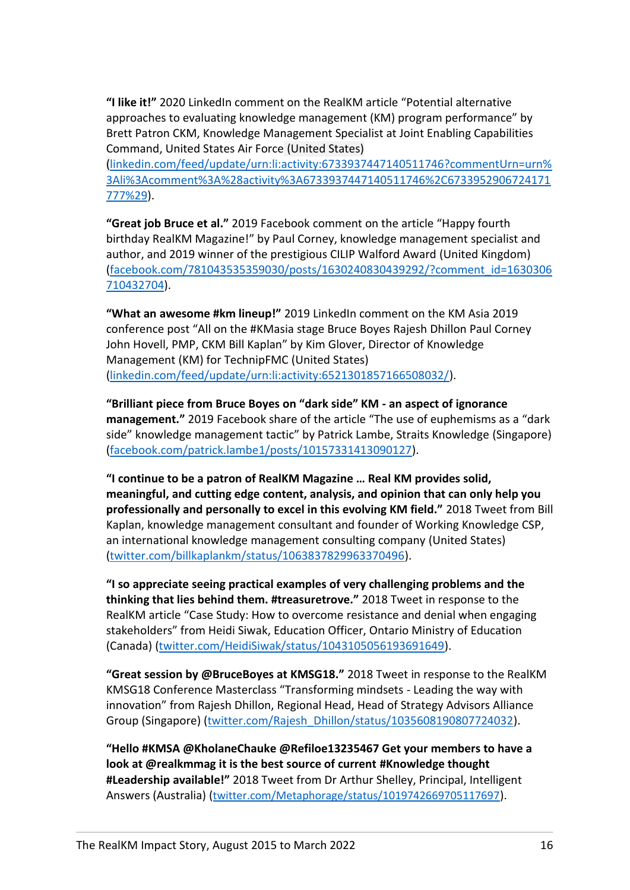**"I like it!"** 2020 LinkedIn comment on the RealKM article "Potential alternative approaches to evaluating knowledge management (KM) program performance" by Brett Patron CKM, Knowledge Management Specialist at Joint Enabling Capabilities Command, United States Air Force (United States)

[\(linkedin.com/feed/update/urn:li:activity:6733937447140511746?commentUrn=urn%](https://www.linkedin.com/feed/update/urn:li:activity:6733937447140511746?commentUrn=urn%3Ali%3Acomment%3A%28activity%3A6733937447140511746%2C6733952906724171777%29) [3Ali%3Acomment%3A%28activity%3A6733937447140511746%2C6733952906724171](https://www.linkedin.com/feed/update/urn:li:activity:6733937447140511746?commentUrn=urn%3Ali%3Acomment%3A%28activity%3A6733937447140511746%2C6733952906724171777%29) [777%29\)](https://www.linkedin.com/feed/update/urn:li:activity:6733937447140511746?commentUrn=urn%3Ali%3Acomment%3A%28activity%3A6733937447140511746%2C6733952906724171777%29).

**"Great job Bruce et al."** 2019 Facebook comment on the article "Happy fourth birthday RealKM Magazine!" by Paul Corney, knowledge management specialist and author, and 2019 winner of the prestigious CILIP Walford Award (United Kingdom) [\(facebook.com/781043535359030/posts/1630240830439292/?comment\\_id=1630306](https://www.facebook.com/781043535359030/posts/1630240830439292/?comment_id=1630306710432704) [710432704\)](https://www.facebook.com/781043535359030/posts/1630240830439292/?comment_id=1630306710432704).

**"What an awesome #km lineup!"** 2019 LinkedIn comment on the KM Asia 2019 conference post "All on the #KMasia stage Bruce Boyes Rajesh Dhillon Paul Corney John Hovell, PMP, CKM Bill Kaplan" by Kim Glover, Director of Knowledge Management (KM) for TechnipFMC (United States) [\(linkedin.com/feed/update/urn:li:activity:6521301857166508032/\)](https://www.linkedin.com/feed/update/urn:li:activity:6521301857166508032/).

**"Brilliant piece from Bruce Boyes on "dark side" KM - an aspect of ignorance management."** 2019 Facebook share of the article "The use of euphemisms as a "dark side" knowledge management tactic" by Patrick Lambe, Straits Knowledge (Singapore) [\(facebook.com/patrick.lambe1/posts/10157331413090127\)](https://www.facebook.com/patrick.lambe1/posts/10157331413090127).

**"I continue to be a patron of RealKM Magazine … Real KM provides solid, meaningful, and cutting edge content, analysis, and opinion that can only help you professionally and personally to excel in this evolving KM field."** 2018 Tweet from Bill Kaplan, knowledge management consultant and founder of Working Knowledge CSP, an international knowledge management consulting company (United States) [\(twitter.com/billkaplankm/status/1063837829963370496\)](https://twitter.com/billkaplankm/status/1063837829963370496).

**"I so appreciate seeing practical examples of very challenging problems and the thinking that lies behind them. #treasuretrove."** 2018 Tweet in response to the RealKM article "Case Study: How to overcome resistance and denial when engaging stakeholders" from Heidi Siwak, Education Officer, Ontario Ministry of Education (Canada) [\(twitter.com/HeidiSiwak/status/1043105056193691649\)](https://twitter.com/HeidiSiwak/status/1043105056193691649).

**"Great session by @BruceBoyes at KMSG18."** 2018 Tweet in response to the RealKM KMSG18 Conference Masterclass "Transforming mindsets - Leading the way with innovation" from Rajesh Dhillon, Regional Head, Head of Strategy Advisors Alliance Group (Singapore) [\(twitter.com/Rajesh\\_Dhillon/status/1035608190807724032\)](https://twitter.com/Rajesh_Dhillon/status/1035608190807724032).

**"Hello #KMSA @KholaneChauke @Refiloe13235467 Get your members to have a look at @realkmmag it is the best source of current #Knowledge thought #Leadership available!"** 2018 Tweet from Dr Arthur Shelley, Principal, Intelligent Answers (Australia) ([twitter.com/Metaphorage/status/1019742669705117697](https://twitter.com/Metaphorage/status/1019742669705117697)).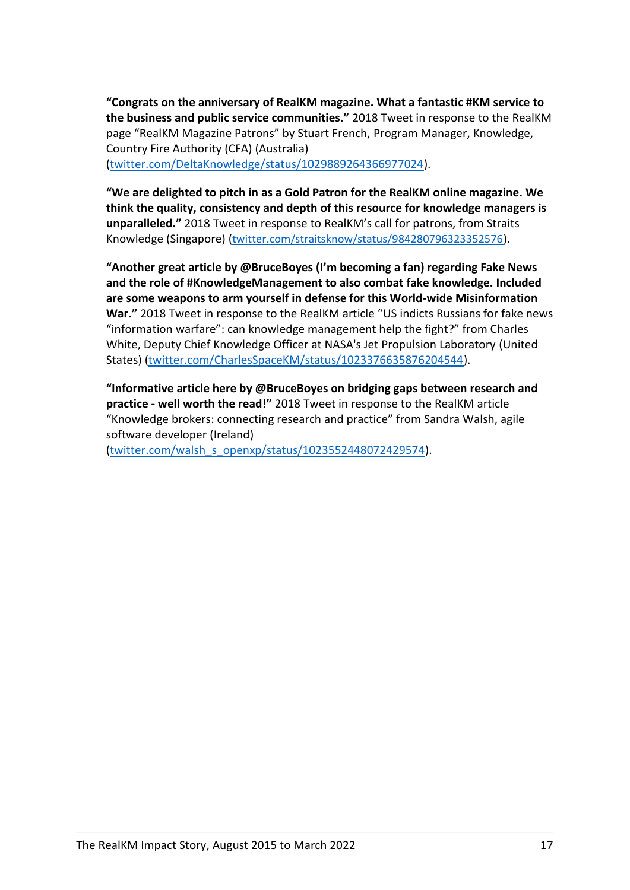**"Congrats on the anniversary of RealKM magazine. What a fantastic #KM service to the business and public service communities."** 2018 Tweet in response to the RealKM page "RealKM Magazine Patrons" by Stuart French, Program Manager, Knowledge, Country Fire Authority (CFA) (Australia) [\(twitter.com/DeltaKnowledge/status/1029889264366977024\)](https://twitter.com/DeltaKnowledge/status/1029889264366977024).

**"We are delighted to pitch in as a Gold Patron for the RealKM online magazine. We think the quality, consistency and depth of this resource for knowledge managers is unparalleled."** 2018 Tweet in response to RealKM's call for patrons, from Straits Knowledge (Singapore) ([twitter.com/straitsknow/status/984280796323352576](https://twitter.com/straitsknow/status/984280796323352576)).

**"Another great article by @BruceBoyes (I'm becoming a fan) regarding Fake News and the role of #KnowledgeManagement to also combat fake knowledge. Included are some weapons to arm yourself in defense for this World-wide Misinformation War."** 2018 Tweet in response to the RealKM article "US indicts Russians for fake news "information warfare": can knowledge management help the fight?" from Charles White, Deputy Chief Knowledge Officer at NASA's Jet Propulsion Laboratory (United States) [\(twitter.com/CharlesSpaceKM/status/1023376635876204544\)](https://twitter.com/CharlesSpaceKM/status/1023376635876204544).

**"Informative article here by @BruceBoyes on bridging gaps between research and practice - well worth the read!"** 2018 Tweet in response to the RealKM article "Knowledge brokers: connecting research and practice" from Sandra Walsh, agile software developer (Ireland)

[\(twitter.com/walsh\\_s\\_openxp/status/1023552448072429574\)](https://twitter.com/walsh_s_openxp/status/1023552448072429574).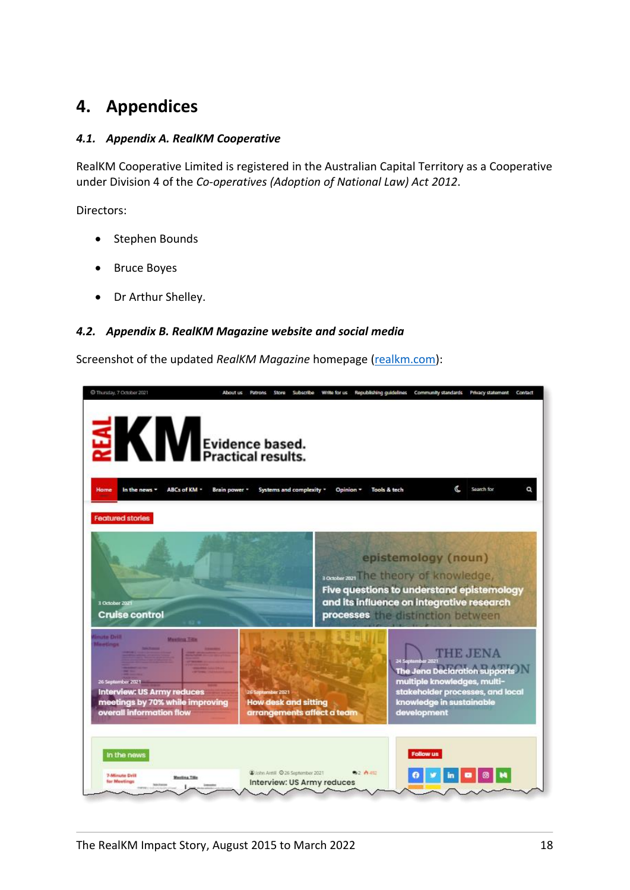### <span id="page-18-0"></span>**4. Appendices**

#### <span id="page-18-1"></span>*4.1. Appendix A. RealKM Cooperative*

RealKM Cooperative Limited is registered in the Australian Capital Territory as a Cooperative under Division 4 of the *Co-operatives (Adoption of National Law) Act 2012*.

Directors:

- Stephen Bounds
- Bruce Boyes
- Dr Arthur Shelley.

#### <span id="page-18-2"></span>*4.2. Appendix B. RealKM Magazine website and social media*

Screenshot of the updated *RealKM Magazine* homepage [\(realkm.com\)](https://realkm.com/):

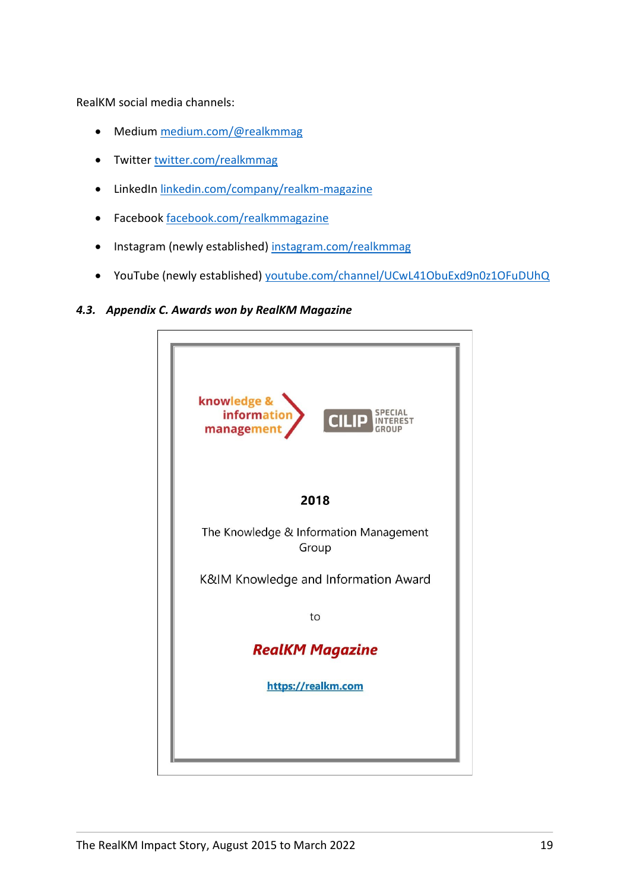RealKM social media channels:

- Medium [medium.com/@realkmmag](https://medium.com/@realkmmag)
- Twitter [twitter.com/realkmmag](https://twitter.com/realkmmag)
- LinkedIn [linkedin.com/company/realkm-magazine](https://www.linkedin.com/company/realkm-magazine)
- Facebook [facebook.com/realkmmagazine](https://www.facebook.com/realkmmagazine/)
- Instagram (newly established) [instagram.com/realkmmag](https://www.instagram.com/realkmmag/)
- YouTube (newly established) [youtube.com/channel/UCwL41ObuExd9n0z1OFuDUhQ](https://www.youtube.com/channel/UCwL41ObuExd9n0z1OFuDUhQ)

#### <span id="page-19-0"></span>*4.3. Appendix C. Awards won by RealKM Magazine*

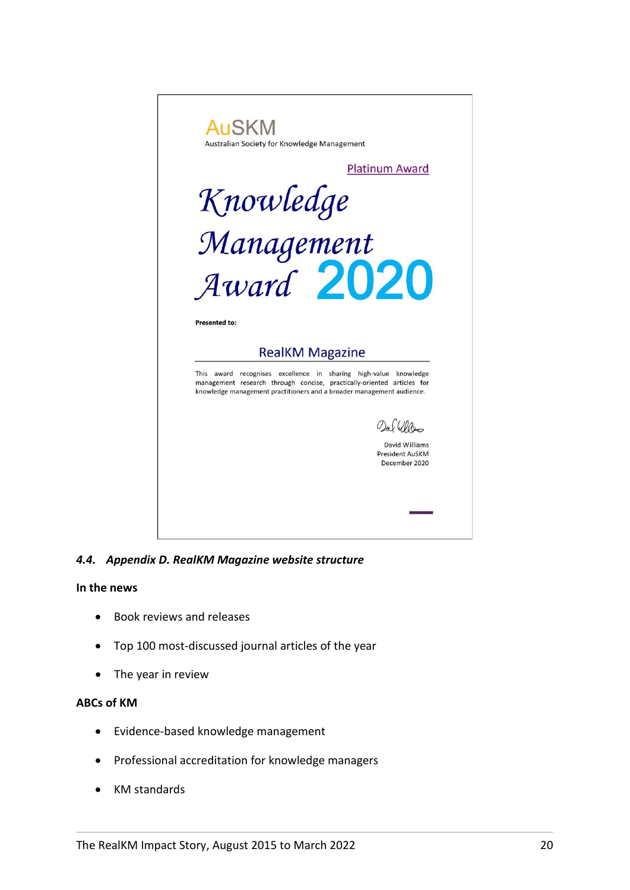

*4.4. Appendix D. RealKM Magazine website structure*

#### <span id="page-20-0"></span>**In the news**

- Book reviews and releases
- Top 100 most-discussed journal articles of the year
- The year in review

#### **ABCs of KM**

- Evidence-based knowledge management
- Professional accreditation for knowledge managers
- KM standards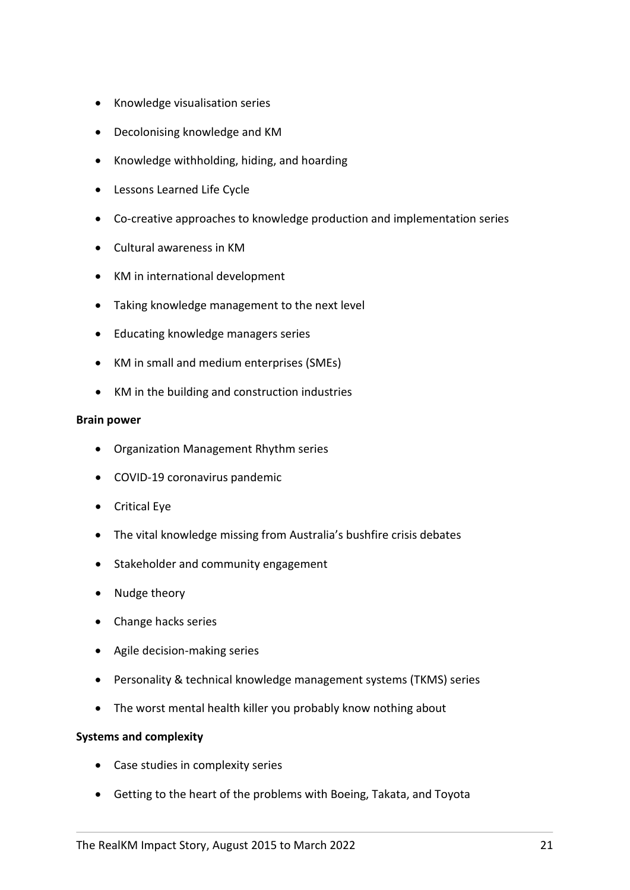- Knowledge visualisation series
- Decolonising knowledge and KM
- Knowledge withholding, hiding, and hoarding
- Lessons Learned Life Cycle
- Co-creative approaches to knowledge production and implementation series
- Cultural awareness in KM
- KM in international development
- Taking knowledge management to the next level
- Educating knowledge managers series
- KM in small and medium enterprises (SMEs)
- KM in the building and construction industries

#### **Brain power**

- Organization Management Rhythm series
- COVID-19 coronavirus pandemic
- Critical Eye
- The vital knowledge missing from Australia's bushfire crisis debates
- Stakeholder and community engagement
- Nudge theory
- Change hacks series
- Agile decision-making series
- Personality & technical knowledge management systems (TKMS) series
- The worst mental health killer you probably know nothing about

#### **Systems and complexity**

- Case studies in complexity series
- Getting to the heart of the problems with Boeing, Takata, and Toyota